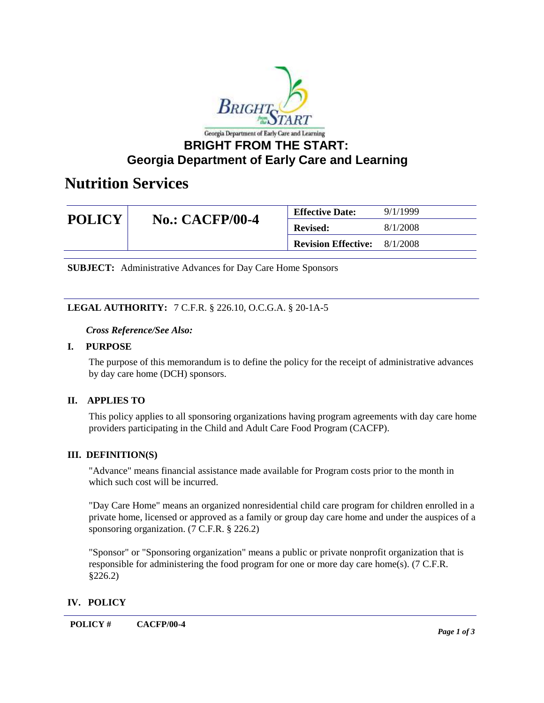

## **Georgia Department of Early Care and Learning**

## **Nutrition Services**

| <b>POLICY</b> | <b>No.: CACFP/00-4</b> | <b>Effective Date:</b>     | 9/1/1999 |
|---------------|------------------------|----------------------------|----------|
|               |                        | <b>Revised:</b>            | 8/1/2008 |
|               |                        | <b>Revision Effective:</b> | 8/1/2008 |

**SUBJECT:** Administrative Advances for Day Care Home Sponsors

#### **LEGAL AUTHORITY:** 7 C.F.R. § 226.10, O.C.G.A. § 20-1A-5

#### *Cross Reference/See Also:*

#### **I. PURPOSE**

The purpose of this memorandum is to define the policy for the receipt of administrative advances by day care home (DCH) sponsors.

#### **II. APPLIES TO**

This policy applies to all sponsoring organizations having program agreements with day care home providers participating in the Child and Adult Care Food Program (CACFP).

#### **III. DEFINITION(S)**

"Advance" means financial assistance made available for Program costs prior to the month in which such cost will be incurred.

"Day Care Home" means an organized nonresidential child care program for children enrolled in a private home, licensed or approved as a family or group day care home and under the auspices of a sponsoring organization. (7 C.F.R. § 226.2)

"Sponsor" or "Sponsoring organization" means a public or private nonprofit organization that is responsible for administering the food program for one or more day care home(s). (7 C.F.R. §226.2)

#### **IV. POLICY**

**POLICY # CACFP/00-4**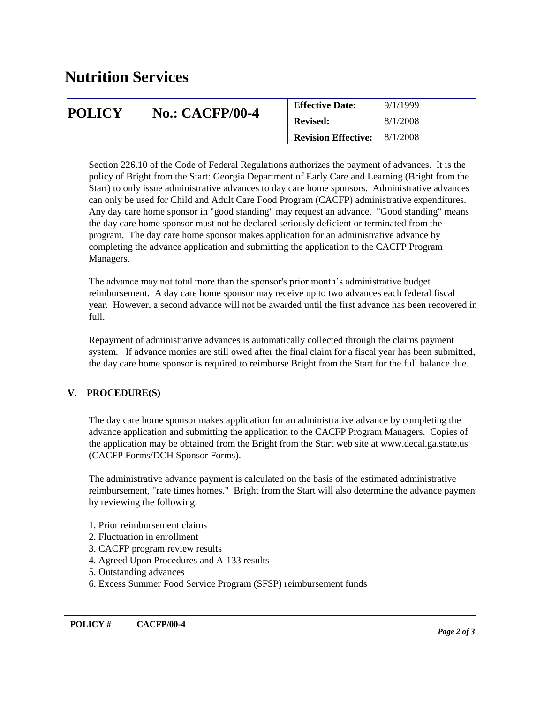# **Nutrition Services**

| <b>POLICY</b> | <b>No.: CACFP/00-4</b> | <b>Effective Date:</b>     | 9/1/1999 |
|---------------|------------------------|----------------------------|----------|
|               |                        | <b>Revised:</b>            | 8/1/2008 |
|               |                        | <b>Revision Effective:</b> | 8/1/2008 |

Section 226.10 of the Code of Federal Regulations authorizes the payment of advances. It is the policy of Bright from the Start: Georgia Department of Early Care and Learning (Bright from the Start) to only issue administrative advances to day care home sponsors. Administrative advances can only be used for Child and Adult Care Food Program (CACFP) administrative expenditures. Any day care home sponsor in "good standing" may request an advance. "Good standing" means the day care home sponsor must not be declared seriously deficient or terminated from the program. The day care home sponsor makes application for an administrative advance by completing the advance application and submitting the application to the CACFP Program Managers.

The advance may not total more than the sponsor's prior month's administrative budget reimbursement. A day care home sponsor may receive up to two advances each federal fiscal year. However, a second advance will not be awarded until the first advance has been recovered in full.

Repayment of administrative advances is automatically collected through the claims payment system. If advance monies are still owed after the final claim for a fiscal year has been submitted, the day care home sponsor is required to reimburse Bright from the Start for the full balance due.

#### **V. PROCEDURE(S)**

The day care home sponsor makes application for an administrative advance by completing the advance application and submitting the application to the CACFP Program Managers. Copies of the application may be obtained from the Bright from the Start web site at www.decal.ga.state.us (CACFP Forms/DCH Sponsor Forms).

The administrative advance payment is calculated on the basis of the estimated administrative reimbursement, "rate times homes." Bright from the Start will also determine the advance payment by reviewing the following:

- 1. Prior reimbursement claims
- 2. Fluctuation in enrollment
- 3. CACFP program review results
- 4. Agreed Upon Procedures and A-133 results
- 5. Outstanding advances
- 6. Excess Summer Food Service Program (SFSP) reimbursement funds